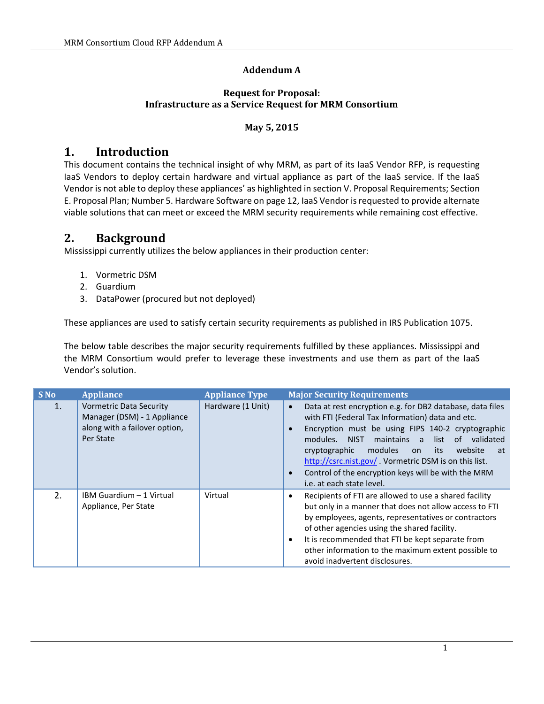#### **Addendum A**

#### **Request for Proposal: Infrastructure as a Service Request for MRM Consortium**

#### **May 5, 2015**

### **1. Introduction**

This document contains the technical insight of why MRM, as part of its IaaS Vendor RFP, is requesting IaaS Vendors to deploy certain hardware and virtual appliance as part of the IaaS service. If the IaaS Vendor is not able to deploy these appliances' as highlighted in section V. Proposal Requirements; Section E. Proposal Plan; Number 5. Hardware Software on page 12, IaaS Vendor is requested to provide alternate viable solutions that can meet or exceed the MRM security requirements while remaining cost effective.

### **2. Background**

Mississippi currently utilizes the below appliances in their production center:

- 1. Vormetric DSM
- 2. Guardium
- 3. DataPower (procured but not deployed)

These appliances are used to satisfy certain security requirements as published in IRS Publication 1075.

The below table describes the major security requirements fulfilled by these appliances. Mississippi and the MRM Consortium would prefer to leverage these investments and use them as part of the IaaS Vendor's solution.

| <b>S</b> No | <b>Appliance</b>                                                                                            | <b>Appliance Type</b> | <b>Major Security Requirements</b>                                                                                                                                                                                                                                                                                                                                                                                                                                 |
|-------------|-------------------------------------------------------------------------------------------------------------|-----------------------|--------------------------------------------------------------------------------------------------------------------------------------------------------------------------------------------------------------------------------------------------------------------------------------------------------------------------------------------------------------------------------------------------------------------------------------------------------------------|
| 1.          | <b>Vormetric Data Security</b><br>Manager (DSM) - 1 Appliance<br>along with a failover option,<br>Per State | Hardware (1 Unit)     | Data at rest encryption e.g. for DB2 database, data files<br>$\bullet$<br>with FTI (Federal Tax Information) data and etc.<br>Encryption must be using FIPS 140-2 cryptographic<br>$\bullet$<br>list of validated<br>modules. NIST<br>maintains a<br>modules<br>website<br>cryptographic<br>on its<br>at<br>http://csrc.nist.gov/. Vormetric DSM is on this list.<br>Control of the encryption keys will be with the MRM<br>$\bullet$<br>i.e. at each state level. |
| 2.          | IBM Guardium - 1 Virtual<br>Appliance, Per State                                                            | Virtual               | Recipients of FTI are allowed to use a shared facility<br>$\bullet$<br>but only in a manner that does not allow access to FTI<br>by employees, agents, representatives or contractors<br>of other agencies using the shared facility.<br>It is recommended that FTI be kept separate from<br>$\bullet$<br>other information to the maximum extent possible to<br>avoid inadvertent disclosures.                                                                    |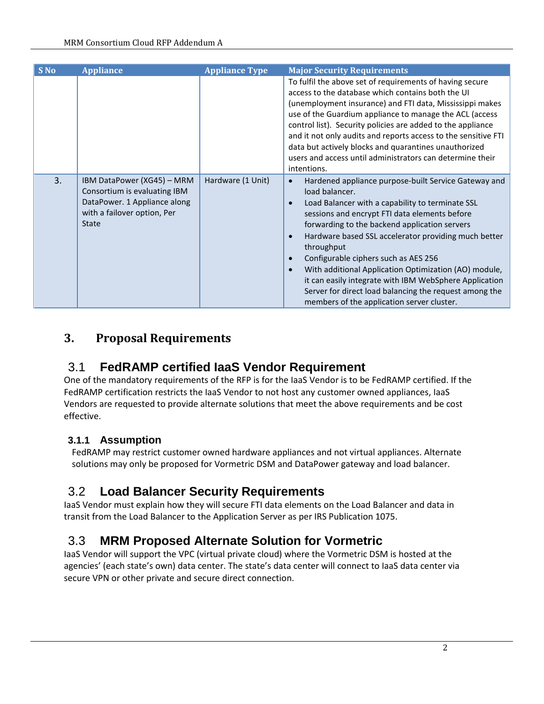| S No | <b>Appliance</b>                                                                                                                          | <b>Appliance Type</b> | <b>Major Security Requirements</b>                                                                                                                                                                                                                                                                                                                                                                                                                                                                                                                                                                                                     |
|------|-------------------------------------------------------------------------------------------------------------------------------------------|-----------------------|----------------------------------------------------------------------------------------------------------------------------------------------------------------------------------------------------------------------------------------------------------------------------------------------------------------------------------------------------------------------------------------------------------------------------------------------------------------------------------------------------------------------------------------------------------------------------------------------------------------------------------------|
|      |                                                                                                                                           |                       | To fulfil the above set of requirements of having secure<br>access to the database which contains both the UI<br>(unemployment insurance) and FTI data, Mississippi makes<br>use of the Guardium appliance to manage the ACL (access<br>control list). Security policies are added to the appliance<br>and it not only audits and reports access to the sensitive FTI<br>data but actively blocks and quarantines unauthorized<br>users and access until administrators can determine their<br>intentions.                                                                                                                             |
| 3.   | IBM DataPower (XG45) - MRM<br>Consortium is evaluating IBM<br>DataPower. 1 Appliance along<br>with a failover option, Per<br><b>State</b> | Hardware (1 Unit)     | Hardened appliance purpose-built Service Gateway and<br>$\bullet$<br>load balancer.<br>Load Balancer with a capability to terminate SSL<br>$\bullet$<br>sessions and encrypt FTI data elements before<br>forwarding to the backend application servers<br>Hardware based SSL accelerator providing much better<br>$\bullet$<br>throughput<br>Configurable ciphers such as AES 256<br>$\bullet$<br>With additional Application Optimization (AO) module,<br>$\bullet$<br>it can easily integrate with IBM WebSphere Application<br>Server for direct load balancing the request among the<br>members of the application server cluster. |

## **3. Proposal Requirements**

## 3.1 **FedRAMP certified IaaS Vendor Requirement**

One of the mandatory requirements of the RFP is for the IaaS Vendor is to be FedRAMP certified. If the FedRAMP certification restricts the IaaS Vendor to not host any customer owned appliances, IaaS Vendors are requested to provide alternate solutions that meet the above requirements and be cost effective.

### **3.1.1 Assumption**

FedRAMP may restrict customer owned hardware appliances and not virtual appliances. Alternate solutions may only be proposed for Vormetric DSM and DataPower gateway and load balancer.

# 3.2 **Load Balancer Security Requirements**

IaaS Vendor must explain how they will secure FTI data elements on the Load Balancer and data in transit from the Load Balancer to the Application Server as per IRS Publication 1075.

# 3.3 **MRM Proposed Alternate Solution for Vormetric**

IaaS Vendor will support the VPC (virtual private cloud) where the Vormetric DSM is hosted at the agencies' (each state's own) data center. The state's data center will connect to IaaS data center via secure VPN or other private and secure direct connection.